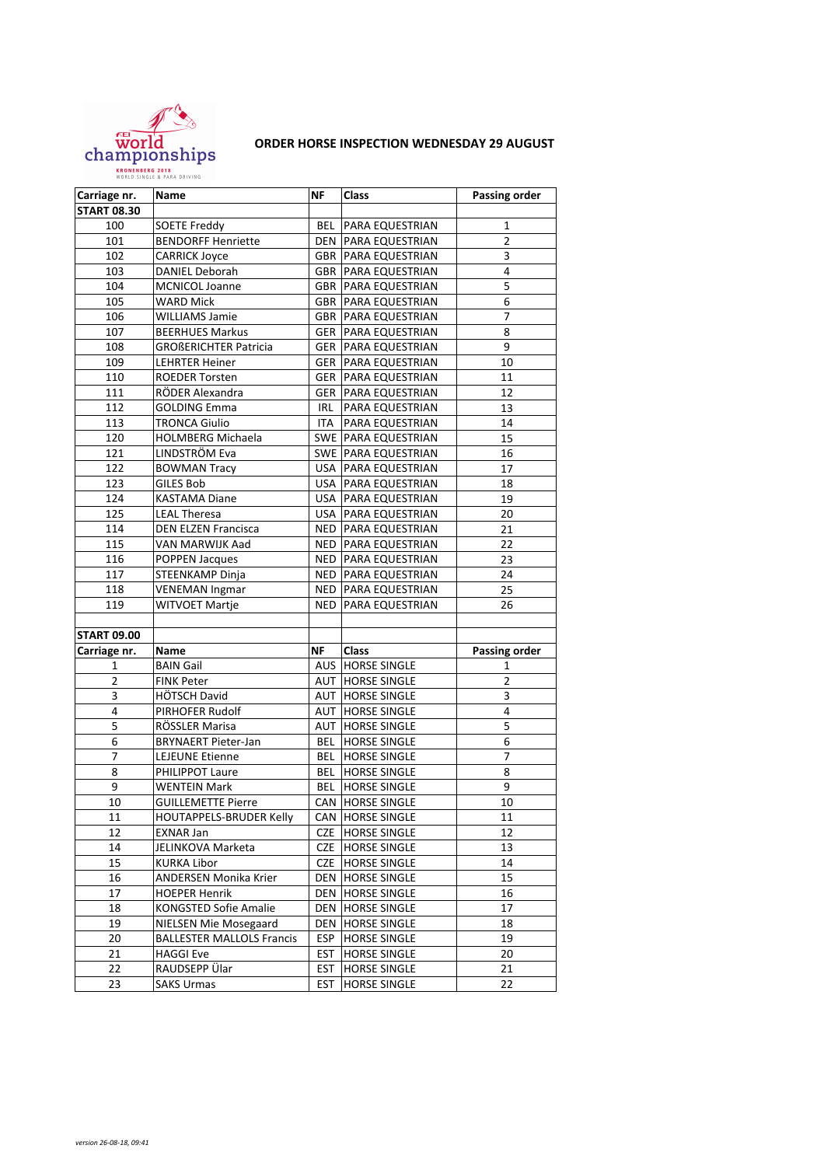

## **ORDER HORSE INSPECTION WEDNESDAY 29 AUGUST**

| Carriage nr.       | Name                             | NF         | Class                        | <b>Passing order</b> |
|--------------------|----------------------------------|------------|------------------------------|----------------------|
| <b>START 08.30</b> |                                  |            |                              |                      |
| 100                | <b>SOETE Freddy</b>              | BEL        | PARA EQUESTRIAN              | 1                    |
| 101                | <b>BENDORFF Henriette</b>        |            | <b>DEN   PARA EQUESTRIAN</b> | $\overline{2}$       |
| 102                | <b>CARRICK Joyce</b>             | GBR        | PARA EQUESTRIAN              | 3                    |
| 103                | <b>DANIEL Deborah</b>            |            | <b>GBR   PARA EQUESTRIAN</b> | 4                    |
| 104                | <b>MCNICOL Joanne</b>            |            | <b>GBR   PARA EQUESTRIAN</b> | 5                    |
| 105                | WARD Mick                        |            | <b>GBR   PARA EQUESTRIAN</b> | $\overline{6}$       |
| 106                | <b>WILLIAMS Jamie</b>            |            | <b>GBR   PARA EQUESTRIAN</b> | $\overline{7}$       |
| 107                | <b>BEERHUES Markus</b>           |            | <b>GER   PARA EQUESTRIAN</b> | 8                    |
| 108                | <b>GROßERICHTER Patricia</b>     | GER        | PARA EQUESTRIAN              | 9                    |
| 109                | <b>LEHRTER Heiner</b>            | GER        | PARA EQUESTRIAN              | 10                   |
| 110                | <b>ROEDER Torsten</b>            | GER        | PARA EQUESTRIAN              | 11                   |
| 111                | RÖDER Alexandra                  | GER        | PARA EQUESTRIAN              | 12                   |
| 112                | <b>GOLDING Emma</b>              | IRL        | PARA EQUESTRIAN              | 13                   |
| 113                | <b>TRONCA Giulio</b>             | ITA        | PARA EQUESTRIAN              | 14                   |
| 120                | <b>HOLMBERG Michaela</b>         |            | SWE PARA EQUESTRIAN          | 15                   |
| 121                | LINDSTRÖM Eva                    |            | SWE PARA EQUESTRIAN          | 16                   |
| 122                | <b>BOWMAN Tracy</b>              |            | USA   PARA EQUESTRIAN        | 17                   |
| 123                | <b>GILES Bob</b>                 |            | USA   PARA EQUESTRIAN        | 18                   |
| 124                | <b>KASTAMA Diane</b>             |            | USA   PARA EQUESTRIAN        | 19                   |
| 125                | <b>LEAL Theresa</b>              | USA        | PARA EQUESTRIAN              | 20                   |
| 114                | <b>DEN ELZEN Francisca</b>       | NED        | <b>PARA EQUESTRIAN</b>       | 21                   |
| 115                | VAN MARWIJK Aad                  |            | NED   PARA EQUESTRIAN        | 22                   |
| 116                | POPPEN Jacques                   | NED        | PARA EQUESTRIAN              | 23                   |
| 117                | STEENKAMP Dinja                  |            | NED   PARA EQUESTRIAN        | 24                   |
| 118                | <b>VENEMAN Ingmar</b>            |            | NED   PARA EQUESTRIAN        | 25                   |
| 119                | WITVOET Martje                   | <b>NED</b> | PARA EQUESTRIAN              | 26                   |
|                    |                                  |            |                              |                      |
| <b>START 09.00</b> |                                  |            |                              |                      |
| Carriage nr.       | Name                             | ΝF         | Class                        | <b>Passing order</b> |
| 1                  | <b>BAIN Gail</b>                 |            | <b>AUS HORSE SINGLE</b>      | 1                    |
| 2                  | <b>FINK Peter</b>                |            | <b>AUT HORSE SINGLE</b>      | $\overline{2}$       |
| 3                  | HÖTSCH David                     |            | AUT  HORSE SINGLE            | 3                    |
| 4                  | PIRHOFER Rudolf                  | AUT        | <b>HORSE SINGLE</b>          | 4                    |
| 5                  | RÖSSLER Marisa                   | AUT        | <b>HORSE SINGLE</b>          | 5                    |
| 6                  | <b>BRYNAERT Pieter-Jan</b>       | <b>BEL</b> | <b>HORSE SINGLE</b>          | 6                    |
| $\overline{7}$     | <b>LEJEUNE Etienne</b>           | <b>BEL</b> | <b>HORSE SINGLE</b>          | 7                    |
| 8                  | PHILIPPOT Laure                  | <b>BEL</b> | <b>HORSE SINGLE</b>          | 8                    |
| 9                  | <b>WENTEIN Mark</b>              | BEL        | <b>HORSE SINGLE</b>          | 9                    |
| 10                 | <b>GUILLEMETTE Pierre</b>        |            | CAN HORSE SINGLE             | 10                   |
| 11                 | HOUTAPPELS-BRUDER Kelly          | CAN        | <b>HORSE SINGLE</b>          | 11                   |
| 12                 | EXNAR Jan                        | CZE        | <b>HORSE SINGLE</b>          | 12                   |
| 14                 | JELINKOVA Marketa                | CZE        | <b>HORSE SINGLE</b>          | 13                   |
| 15                 | <b>KURKA Libor</b>               | CZE        | <b>HORSE SINGLE</b>          | 14                   |
| 16                 | ANDERSEN Monika Krier            | DEN        | <b>HORSE SINGLE</b>          | 15                   |
| 17                 | <b>HOEPER Henrik</b>             | DEN        | <b>HORSE SINGLE</b>          | 16                   |
| 18                 | <b>KONGSTED Sofie Amalie</b>     | DEN        | <b>HORSE SINGLE</b>          | 17                   |
| 19                 | NIELSEN Mie Mosegaard            | <b>DEN</b> | <b>HORSE SINGLE</b>          | 18                   |
| 20                 | <b>BALLESTER MALLOLS Francis</b> | ESP        | <b>HORSE SINGLE</b>          | 19                   |
| 21                 | <b>HAGGI Eve</b>                 | EST        | <b>HORSE SINGLE</b>          | 20                   |
| 22                 | RAUDSEPP Ülar                    | <b>EST</b> | <b>HORSE SINGLE</b>          | 21                   |
| 23                 | <b>SAKS Urmas</b>                | <b>EST</b> | <b>HORSE SINGLE</b>          | 22                   |
|                    |                                  |            |                              |                      |